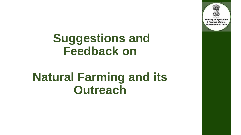

## **Suggestions and Feedback on**

### **Natural Farming and its Outreach**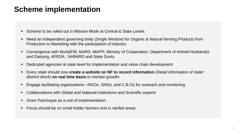#### **Scheme implementation**

- Scheme to be rolled out in Mission Mode at Central & State Levels
- Need an independent governing body (Single Window) for Organic & Natural farming Products from Production to Marketing with the participation of industry
- Convergence with MoA&FW, MoRD, MoFPI, Ministry of Cooperation, Department of Animal Husbandry and Dairying, APEDA , NABARD and State Govts
- Dedicated agencies at state level for implementation and value chain development
- Every state should now **create a website on NF to record information** *(Detail information of state/ district/ block)* **on real time basis** to monitor growth\
- Engage facilitating organizations –NGOs, SHGs, and C.B.Os for outreach and monitoring
- Collaborations with Global and National institutions and Scientific experts
- Gram Panchayat as a unit of implementation
- Focus should be on small holder farmers and in rainfed areas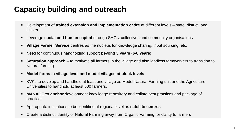### **Capacity building and outreach**

- Development of **trained extension and implementation cadre** at different levels state, district, and cluster
- Leverage **social and human capital** through SHGs, collectives and community organisations
- **Village Farmer Service** centres as the nucleus for knowledge sharing, input sourcing, etc.
- Need for continuous handholding support **beyond 3 years (6-8 years)**
- **Saturation approach** to motivate all farmers in the village and also landless farmworkers to transition to Natural farming.
- **Model farms in village level and model villages at block levels**
- KVKs to develop and handhold at least one village as Model Natural Farming unit and the Agriculture Universities to handhold at least 500 farmers.
- **MANAGE to anchor** development knowledge repository and collate best practices and package of practices
- Appropriate institutions to be identified at regional level as **satellite centres**
- Create a distinct identity of Natural Farming away from Organic Farming for clarity to farmers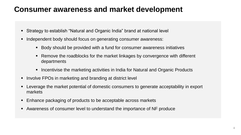#### **Consumer awareness and market development**

- Strategy to establish "Natural and Organic India" brand at national level
- Independent body should focus on generating consumer awareness:
	- Body should be provided with a fund for consumer awareness initiatives
	- Remove the roadblocks for the market linkages by convergence with different departments
	- Incentivise the marketing activities in India for Natural and Organic Products
- Involve FPOs in marketing and branding at district level
- Leverage the market potential of domestic consumers to generate acceptability in export markets
- Enhance packaging of products to be acceptable across markets
- Awareness of consumer level to understand the importance of NF produce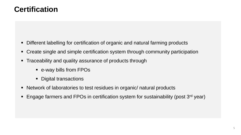#### **Certification**

- Different labelling for certification of organic and natural farming products
- Create single and simple certification system through community participation
- **Traceability and quality assurance of products through** 
	- e-way bills from FPOs
	- **Digital transactions**
- Network of laboratories to test residues in organic/ natural products
- **Engage farmers and FPOs in certification system for sustainability (post 3<sup>rd</sup> year)**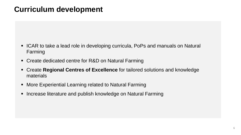#### **Curriculum development**

- ICAR to take a lead role in developing curricula, PoPs and manuals on Natural Farming
- Create dedicated centre for R&D on Natural Farming
- Create **Regional Centres of Excellence** for tailored solutions and knowledge materials
- More Experiential Learning related to Natural Farming
- **Increase literature and publish knowledge on Natural Farming**